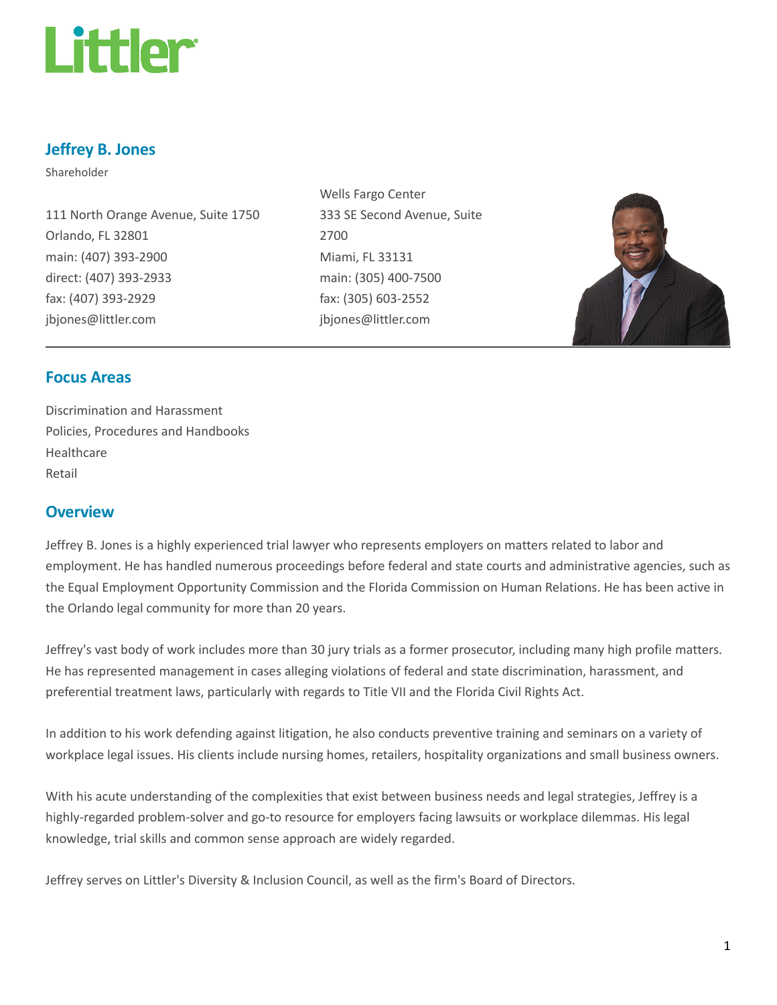

# Jeffrey B. Jones

Shareholder

111 North Orange Avenue, Suite 1750 Orlando, FL 32801 main: (407) 393-2900 direct: (407) 393-2933 fax: (407) 393-2929 jbjones@littler.com

Wells Fargo Center 333 SE Second Avenue, Suite 2700 Miami, FL 33131 main: (305) 400-7500 fax: (305) 603-2552 jbjones@littler.com



## Focus Areas

Discrimination and Harassment Policies, Procedures and Handbooks Healthcare Retail

## **Overview**

Jeffrey B. Jones is a highly experienced trial lawyer who represents employers on matters related to labor and employment. He has handled numerous proceedings before federal and state courts and administrative agencies, such as the Equal Employment Opportunity Commission and the Florida Commission on Human Relations. He has been active in the Orlando legal community for more than 20 years.

Jeffrey's vast body of work includes more than 30 jury trials as a former prosecutor, including many high profile matters. He has represented management in cases alleging violations of federal and state discrimination, harassment, and preferential treatment laws, particularly with regards to Title VII and the Florida Civil Rights Act.

In addition to his work defending against litigation, he also conducts preventive training and seminars on a variety of workplace legal issues. His clients include nursing homes, retailers, hospitality organizations and small business owners.

With his acute understanding of the complexities that exist between business needs and legal strategies, Jeffrey is a highly-regarded problem-solver and go-to resource for employers facing lawsuits or workplace dilemmas. His legal knowledge, trial skills and common sense approach are widely regarded.

Jeffrey serves on Littler's Diversity & Inclusion Council, as well as the firm's Board of Directors.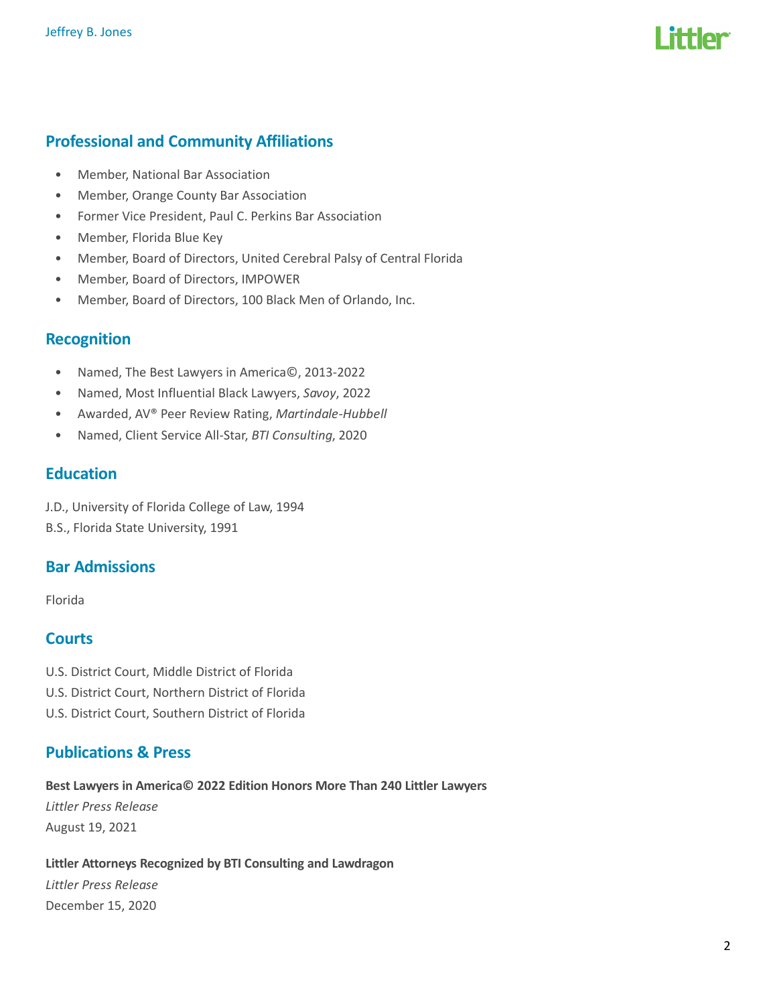

## Professional and Community Affiliations

- Member, National Bar Association
- Member, Orange County Bar Association
- Former Vice President, Paul C. Perkins Bar Association
- Member, Florida Blue Key
- Member, Board of Directors, United Cerebral Palsy of Central Florida
- Member, Board of Directors, IMPOWER
- Member, Board of Directors, 100 Black Men of Orlando, Inc.

### Recognition

- Named, The Best Lawyers in America©, 2013-2022
- Named, Most Influential Black Lawyers, Savoy, 2022
- Awarded, AV® Peer Review Rating, Martindale-Hubbell
- Named, Client Service All-Star, BTI Consulting, 2020

## **Education**

J.D., University of Florida College of Law, 1994 B.S., Florida State University, 1991

## Bar Admissions

Florida

## **Courts**

- U.S. District Court, Middle District of Florida
- U.S. District Court, Northern District of Florida
- U.S. District Court, Southern District of Florida

## Publications & Press

Best Lawyers in America© 2022 Edition Honors More Than 240 Littler Lawyers Littler Press Release August 19, 2021

#### Littler Attorneys Recognized by BTI Consulting and Lawdragon

Littler Press Release December 15, 2020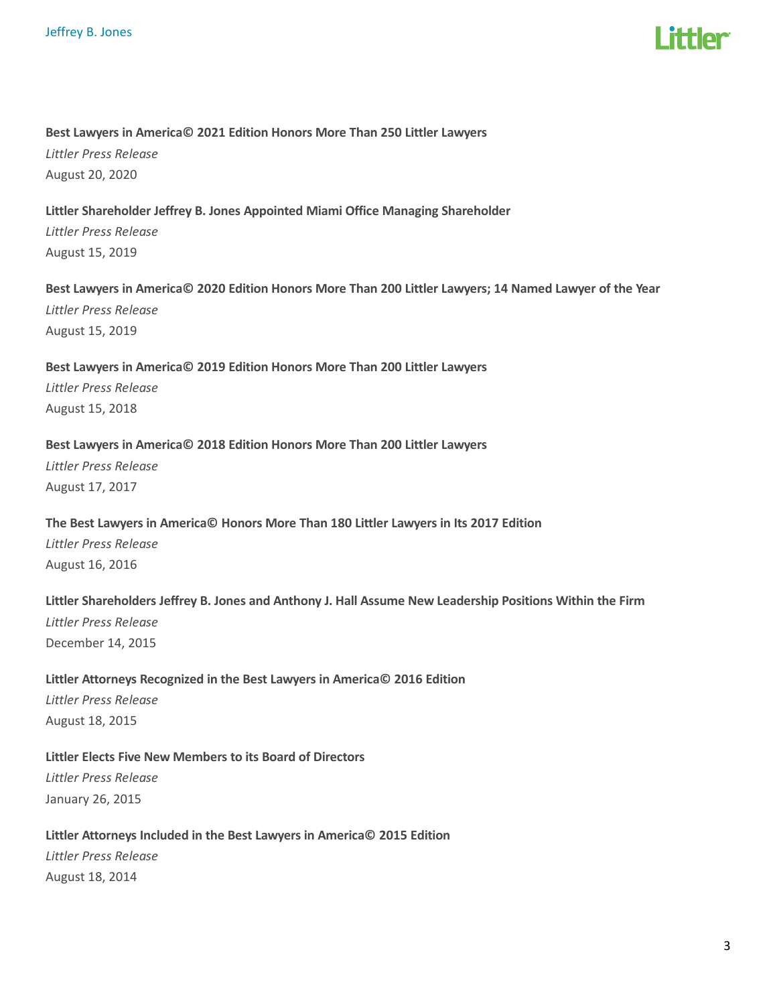

#### Best Lawyers in America© 2021 Edition Honors More Than 250 Littler Lawyers

Littler Press Release August 20, 2020

#### Littler Shareholder Jeffrey B. Jones Appointed Miami Office Managing Shareholder

Littler Press Release August 15, 2019

#### Best Lawyers in America© 2020 Edition Honors More Than 200 Littler Lawyers; 14 Named Lawyer of the Year

Littler Press Release August 15, 2019

# Best Lawyers in America© 2019 Edition Honors More Than 200 Littler Lawyers

Littler Press Release August 15, 2018

#### Best Lawyers in America© 2018 Edition Honors More Than 200 Littler Lawyers

Littler Press Release August 17, 2017

#### The Best Lawyers in America© Honors More Than 180 Littler Lawyers in Its 2017 Edition

Littler Press Release August 16, 2016

#### Littler Shareholders Jeffrey B. Jones and Anthony J. Hall Assume New Leadership Positions Within the Firm

Littler Press Release December 14, 2015

#### Littler Attorneys Recognized in the Best Lawyers in America© 2016 Edition

Littler Press Release August 18, 2015

#### Littler Elects Five New Members to its Board of Directors

Littler Press Release January 26, 2015

#### Littler Attorneys Included in the Best Lawyers in America© 2015 Edition

Littler Press Release August 18, 2014